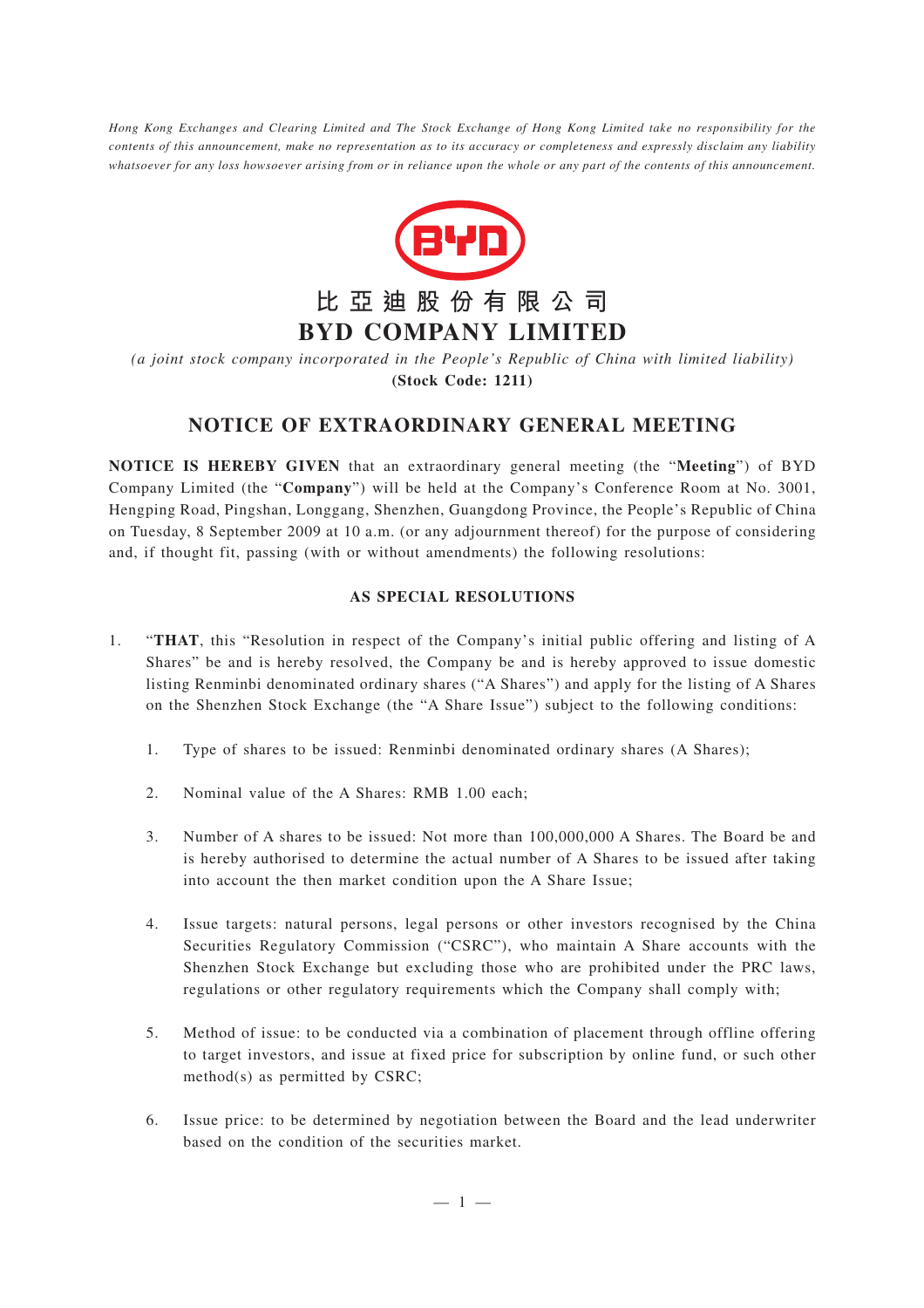*Hong Kong Exchanges and Clearing Limited and The Stock Exchange of Hong Kong Limited take no responsibility for the contents of this announcement, make no representation as to its accuracy or completeness and expressly disclaim any liability whatsoever for any loss howsoever arising from or in reliance upon the whole or any part of the contents of this announcement.*



*(a joint stock company incorporated in the People's Republic of China with limited liability)* **(Stock Code: 1211)**

## **NOTICE OF EXTRAORDINARY GENERAL MEETING**

**NOTICE IS HEREBY GIVEN** that an extraordinary general meeting (the "**Meeting**") of BYD Company Limited (the "**Company**") will be held at the Company's Conference Room at No. 3001, Hengping Road, Pingshan, Longgang, Shenzhen, Guangdong Province, the People's Republic of China on Tuesday, 8 September 2009 at 10 a.m. (or any adjournment thereof) for the purpose of considering and, if thought fit, passing (with or without amendments) the following resolutions:

## **AS SPECIAL RESOLUTIONS**

- 1. "**THAT**, this "Resolution in respect of the Company's initial public offering and listing of A Shares" be and is hereby resolved, the Company be and is hereby approved to issue domestic listing Renminbi denominated ordinary shares ("A Shares") and apply for the listing of A Shares on the Shenzhen Stock Exchange (the "A Share Issue") subject to the following conditions:
	- 1. Type of shares to be issued: Renminbi denominated ordinary shares (A Shares);
	- 2. Nominal value of the A Shares: RMB 1.00 each;
	- 3. Number of A shares to be issued: Not more than 100,000,000 A Shares. The Board be and is hereby authorised to determine the actual number of A Shares to be issued after taking into account the then market condition upon the A Share Issue;
	- 4. Issue targets: natural persons, legal persons or other investors recognised by the China Securities Regulatory Commission ("CSRC"), who maintain A Share accounts with the Shenzhen Stock Exchange but excluding those who are prohibited under the PRC laws, regulations or other regulatory requirements which the Company shall comply with;
	- 5. Method of issue: to be conducted via a combination of placement through offline offering to target investors, and issue at fixed price for subscription by online fund, or such other method(s) as permitted by CSRC;
	- 6. Issue price: to be determined by negotiation between the Board and the lead underwriter based on the condition of the securities market.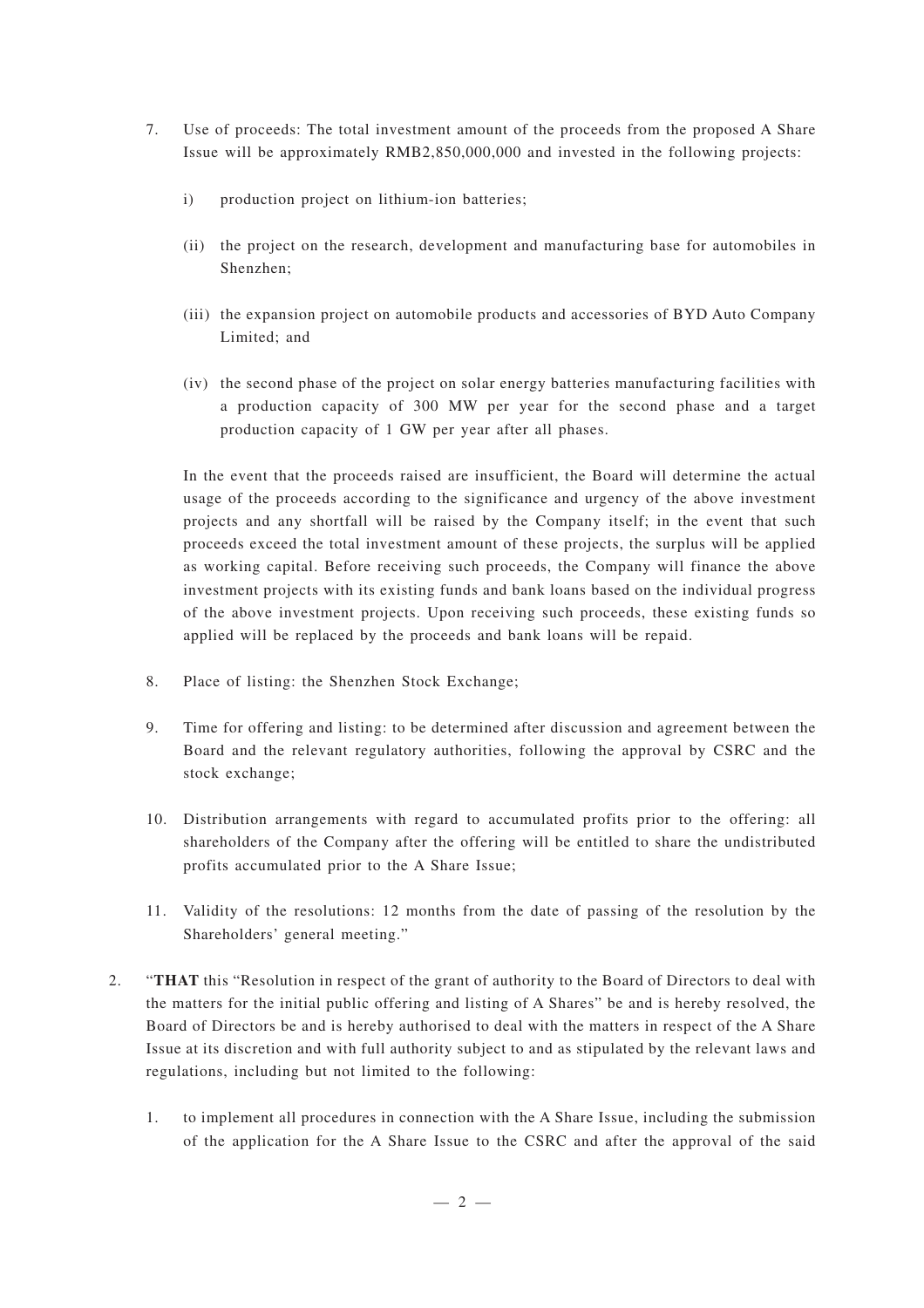- 7. Use of proceeds: The total investment amount of the proceeds from the proposed A Share Issue will be approximately RMB2,850,000,000 and invested in the following projects:
	- i) production project on lithium-ion batteries;
	- (ii) the project on the research, development and manufacturing base for automobiles in Shenzhen;
	- (iii) the expansion project on automobile products and accessories of BYD Auto Company Limited; and
	- (iv) the second phase of the project on solar energy batteries manufacturing facilities with a production capacity of 300 MW per year for the second phase and a target production capacity of 1 GW per year after all phases.

In the event that the proceeds raised are insufficient, the Board will determine the actual usage of the proceeds according to the significance and urgency of the above investment projects and any shortfall will be raised by the Company itself; in the event that such proceeds exceed the total investment amount of these projects, the surplus will be applied as working capital. Before receiving such proceeds, the Company will finance the above investment projects with its existing funds and bank loans based on the individual progress of the above investment projects. Upon receiving such proceeds, these existing funds so applied will be replaced by the proceeds and bank loans will be repaid.

- 8. Place of listing: the Shenzhen Stock Exchange;
- 9. Time for offering and listing: to be determined after discussion and agreement between the Board and the relevant regulatory authorities, following the approval by CSRC and the stock exchange;
- 10. Distribution arrangements with regard to accumulated profits prior to the offering: all shareholders of the Company after the offering will be entitled to share the undistributed profits accumulated prior to the A Share Issue;
- 11. Validity of the resolutions: 12 months from the date of passing of the resolution by the Shareholders' general meeting."
- 2. "**THAT** this "Resolution in respect of the grant of authority to the Board of Directors to deal with the matters for the initial public offering and listing of A Shares" be and is hereby resolved, the Board of Directors be and is hereby authorised to deal with the matters in respect of the A Share Issue at its discretion and with full authority subject to and as stipulated by the relevant laws and regulations, including but not limited to the following:
	- 1. to implement all procedures in connection with the A Share Issue, including the submission of the application for the A Share Issue to the CSRC and after the approval of the said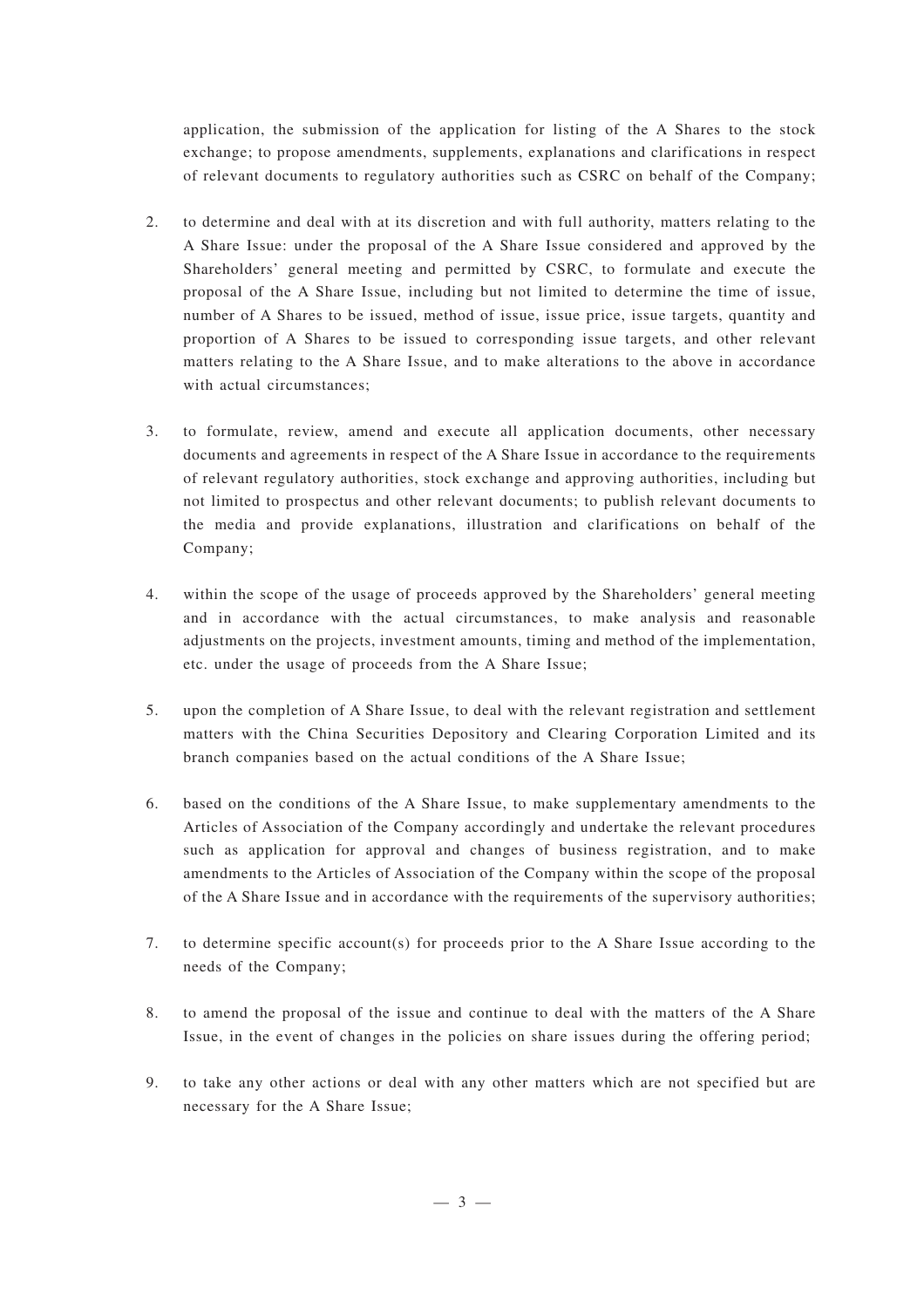application, the submission of the application for listing of the A Shares to the stock exchange; to propose amendments, supplements, explanations and clarifications in respect of relevant documents to regulatory authorities such as CSRC on behalf of the Company;

- 2. to determine and deal with at its discretion and with full authority, matters relating to the A Share Issue: under the proposal of the A Share Issue considered and approved by the Shareholders' general meeting and permitted by CSRC, to formulate and execute the proposal of the A Share Issue, including but not limited to determine the time of issue, number of A Shares to be issued, method of issue, issue price, issue targets, quantity and proportion of A Shares to be issued to corresponding issue targets, and other relevant matters relating to the A Share Issue, and to make alterations to the above in accordance with actual circumstances;
- 3. to formulate, review, amend and execute all application documents, other necessary documents and agreements in respect of the A Share Issue in accordance to the requirements of relevant regulatory authorities, stock exchange and approving authorities, including but not limited to prospectus and other relevant documents; to publish relevant documents to the media and provide explanations, illustration and clarifications on behalf of the Company;
- 4. within the scope of the usage of proceeds approved by the Shareholders' general meeting and in accordance with the actual circumstances, to make analysis and reasonable adjustments on the projects, investment amounts, timing and method of the implementation, etc. under the usage of proceeds from the A Share Issue;
- 5. upon the completion of A Share Issue, to deal with the relevant registration and settlement matters with the China Securities Depository and Clearing Corporation Limited and its branch companies based on the actual conditions of the A Share Issue;
- 6. based on the conditions of the A Share Issue, to make supplementary amendments to the Articles of Association of the Company accordingly and undertake the relevant procedures such as application for approval and changes of business registration, and to make amendments to the Articles of Association of the Company within the scope of the proposal of the A Share Issue and in accordance with the requirements of the supervisory authorities;
- 7. to determine specific account(s) for proceeds prior to the A Share Issue according to the needs of the Company;
- 8. to amend the proposal of the issue and continue to deal with the matters of the A Share Issue, in the event of changes in the policies on share issues during the offering period;
- 9. to take any other actions or deal with any other matters which are not specified but are necessary for the A Share Issue;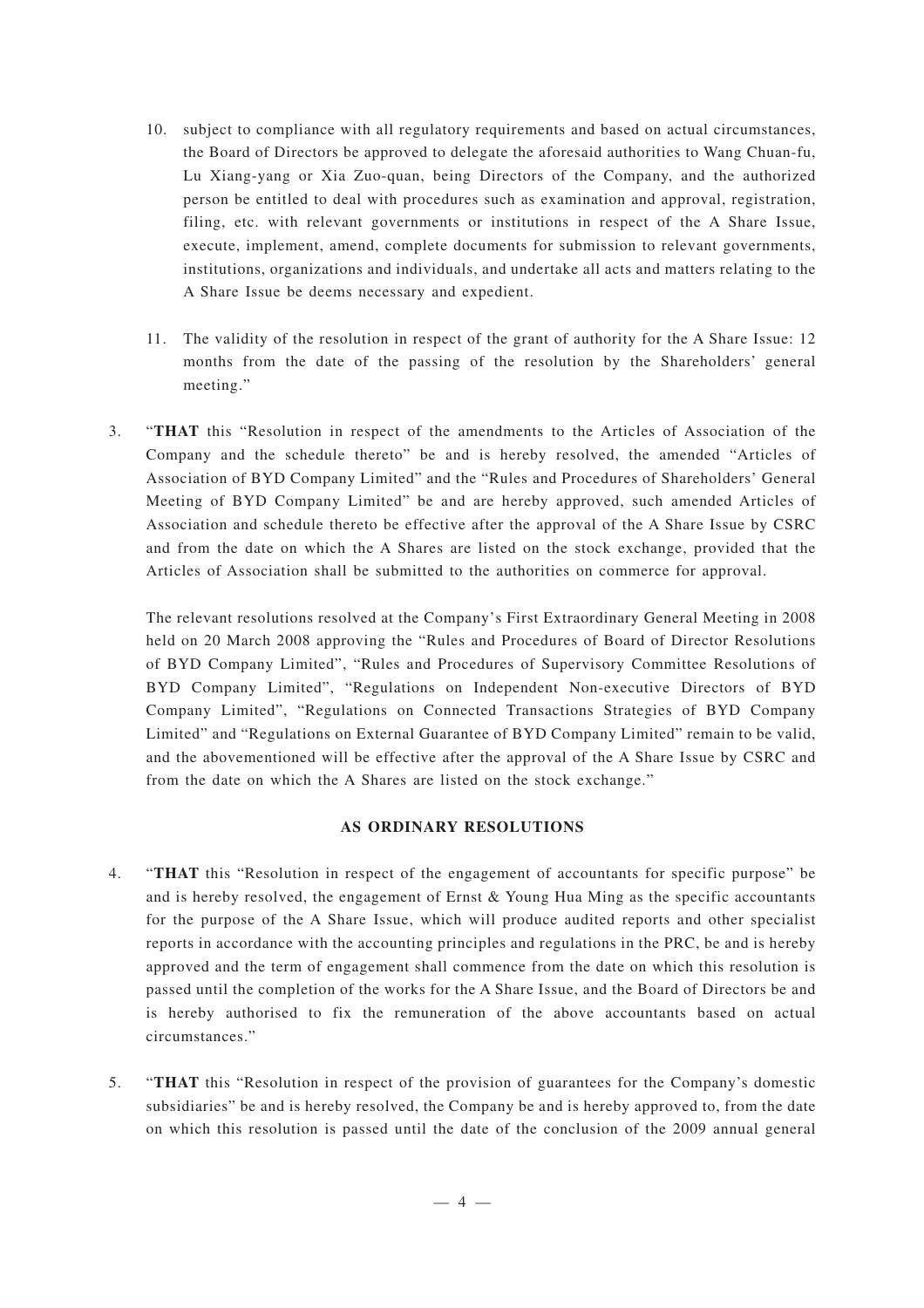- 10. subject to compliance with all regulatory requirements and based on actual circumstances, the Board of Directors be approved to delegate the aforesaid authorities to Wang Chuan-fu, Lu Xiang-yang or Xia Zuo-quan, being Directors of the Company, and the authorized person be entitled to deal with procedures such as examination and approval, registration, filing, etc. with relevant governments or institutions in respect of the A Share Issue, execute, implement, amend, complete documents for submission to relevant governments, institutions, organizations and individuals, and undertake all acts and matters relating to the A Share Issue be deems necessary and expedient.
- 11. The validity of the resolution in respect of the grant of authority for the A Share Issue: 12 months from the date of the passing of the resolution by the Shareholders' general meeting."
- 3. "**THAT** this "Resolution in respect of the amendments to the Articles of Association of the Company and the schedule thereto" be and is hereby resolved, the amended "Articles of Association of BYD Company Limited" and the "Rules and Procedures of Shareholders' General Meeting of BYD Company Limited" be and are hereby approved, such amended Articles of Association and schedule thereto be effective after the approval of the A Share Issue by CSRC and from the date on which the A Shares are listed on the stock exchange, provided that the Articles of Association shall be submitted to the authorities on commerce for approval.

The relevant resolutions resolved at the Company's First Extraordinary General Meeting in 2008 held on 20 March 2008 approving the "Rules and Procedures of Board of Director Resolutions of BYD Company Limited", "Rules and Procedures of Supervisory Committee Resolutions of BYD Company Limited", "Regulations on Independent Non-executive Directors of BYD Company Limited", "Regulations on Connected Transactions Strategies of BYD Company Limited" and "Regulations on External Guarantee of BYD Company Limited" remain to be valid, and the abovementioned will be effective after the approval of the A Share Issue by CSRC and from the date on which the A Shares are listed on the stock exchange."

## **AS ORDINARY RESOLUTIONS**

- 4. "**THAT** this "Resolution in respect of the engagement of accountants for specific purpose" be and is hereby resolved, the engagement of Ernst & Young Hua Ming as the specific accountants for the purpose of the A Share Issue, which will produce audited reports and other specialist reports in accordance with the accounting principles and regulations in the PRC, be and is hereby approved and the term of engagement shall commence from the date on which this resolution is passed until the completion of the works for the A Share Issue, and the Board of Directors be and is hereby authorised to fix the remuneration of the above accountants based on actual circumstances."
- 5. "**THAT** this "Resolution in respect of the provision of guarantees for the Company's domestic subsidiaries" be and is hereby resolved, the Company be and is hereby approved to, from the date on which this resolution is passed until the date of the conclusion of the 2009 annual general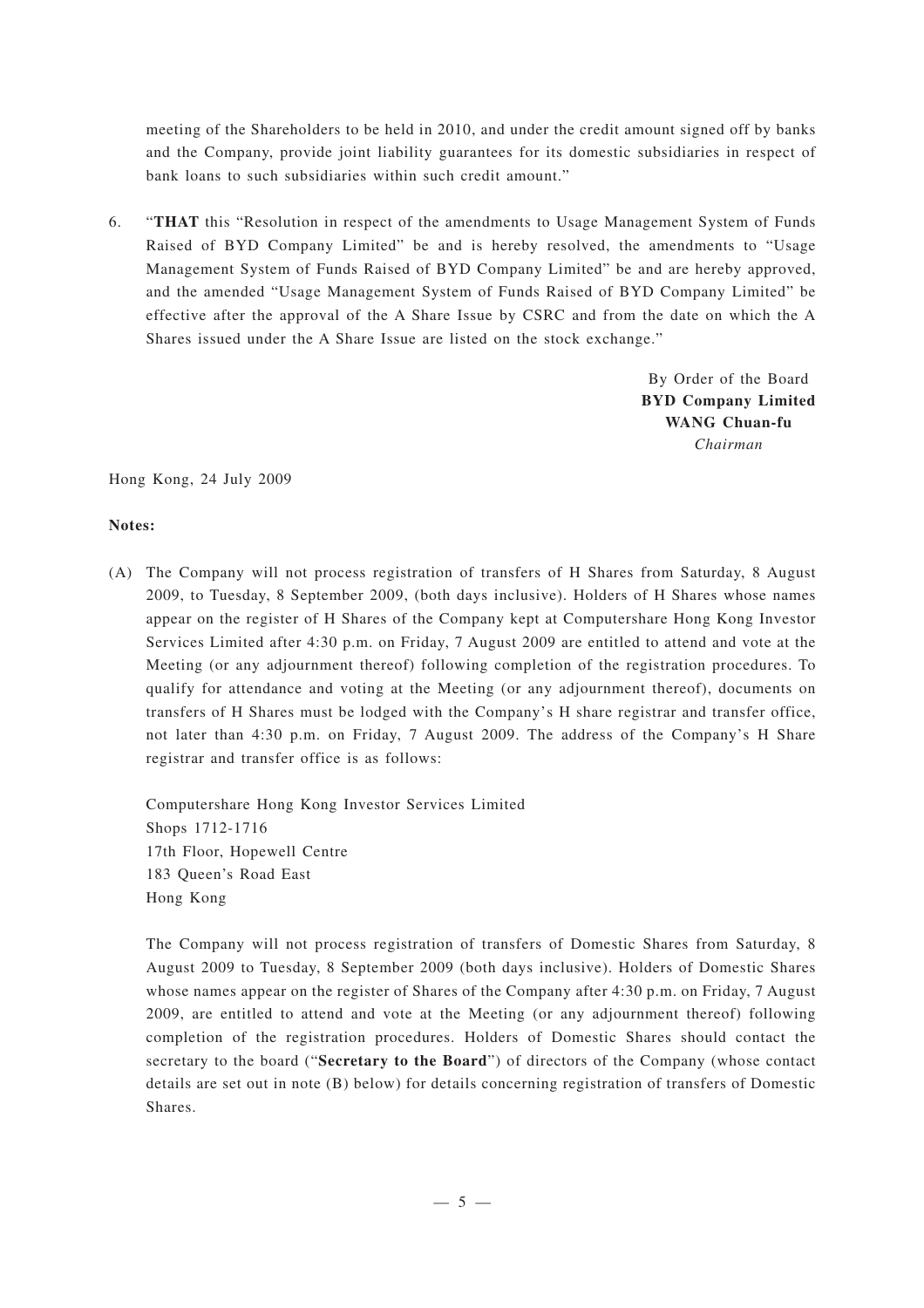meeting of the Shareholders to be held in 2010, and under the credit amount signed off by banks and the Company, provide joint liability guarantees for its domestic subsidiaries in respect of bank loans to such subsidiaries within such credit amount."

6. "**THAT** this "Resolution in respect of the amendments to Usage Management System of Funds Raised of BYD Company Limited" be and is hereby resolved, the amendments to "Usage Management System of Funds Raised of BYD Company Limited" be and are hereby approved, and the amended "Usage Management System of Funds Raised of BYD Company Limited" be effective after the approval of the A Share Issue by CSRC and from the date on which the A Shares issued under the A Share Issue are listed on the stock exchange."

> By Order of the Board **BYD Company Limited WANG Chuan-fu** *Chairman*

Hong Kong, 24 July 2009

## **Notes:**

(A) The Company will not process registration of transfers of H Shares from Saturday, 8 August 2009, to Tuesday, 8 September 2009, (both days inclusive). Holders of H Shares whose names appear on the register of H Shares of the Company kept at Computershare Hong Kong Investor Services Limited after 4:30 p.m. on Friday, 7 August 2009 are entitled to attend and vote at the Meeting (or any adjournment thereof) following completion of the registration procedures. To qualify for attendance and voting at the Meeting (or any adjournment thereof), documents on transfers of H Shares must be lodged with the Company's H share registrar and transfer office, not later than 4:30 p.m. on Friday, 7 August 2009. The address of the Company's H Share registrar and transfer office is as follows:

Computershare Hong Kong Investor Services Limited Shops 1712-1716 17th Floor, Hopewell Centre 183 Queen's Road East Hong Kong

The Company will not process registration of transfers of Domestic Shares from Saturday, 8 August 2009 to Tuesday, 8 September 2009 (both days inclusive). Holders of Domestic Shares whose names appear on the register of Shares of the Company after 4:30 p.m. on Friday, 7 August 2009, are entitled to attend and vote at the Meeting (or any adjournment thereof) following completion of the registration procedures. Holders of Domestic Shares should contact the secretary to the board ("**Secretary to the Board**") of directors of the Company (whose contact details are set out in note (B) below) for details concerning registration of transfers of Domestic Shares.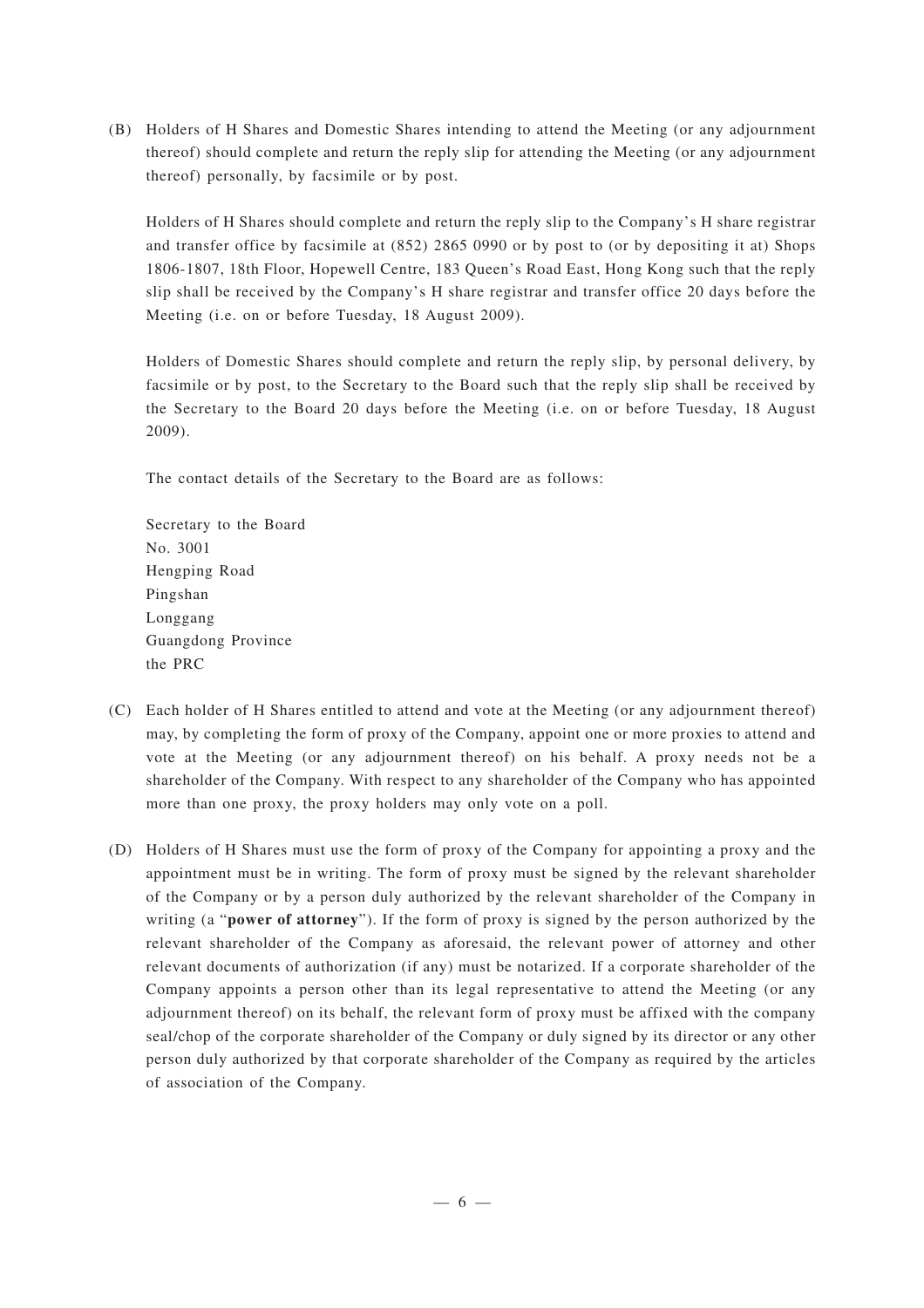(B) Holders of H Shares and Domestic Shares intending to attend the Meeting (or any adjournment thereof) should complete and return the reply slip for attending the Meeting (or any adjournment thereof) personally, by facsimile or by post.

Holders of H Shares should complete and return the reply slip to the Company's H share registrar and transfer office by facsimile at (852) 2865 0990 or by post to (or by depositing it at) Shops 1806-1807, 18th Floor, Hopewell Centre, 183 Queen's Road East, Hong Kong such that the reply slip shall be received by the Company's H share registrar and transfer office 20 days before the Meeting (i.e. on or before Tuesday, 18 August 2009).

Holders of Domestic Shares should complete and return the reply slip, by personal delivery, by facsimile or by post, to the Secretary to the Board such that the reply slip shall be received by the Secretary to the Board 20 days before the Meeting (i.e. on or before Tuesday, 18 August 2009).

The contact details of the Secretary to the Board are as follows:

Secretary to the Board No. 3001 Hengping Road Pingshan Longgang Guangdong Province the PRC

- (C) Each holder of H Shares entitled to attend and vote at the Meeting (or any adjournment thereof) may, by completing the form of proxy of the Company, appoint one or more proxies to attend and vote at the Meeting (or any adjournment thereof) on his behalf. A proxy needs not be a shareholder of the Company. With respect to any shareholder of the Company who has appointed more than one proxy, the proxy holders may only vote on a poll.
- (D) Holders of H Shares must use the form of proxy of the Company for appointing a proxy and the appointment must be in writing. The form of proxy must be signed by the relevant shareholder of the Company or by a person duly authorized by the relevant shareholder of the Company in writing (a "**power of attorney**"). If the form of proxy is signed by the person authorized by the relevant shareholder of the Company as aforesaid, the relevant power of attorney and other relevant documents of authorization (if any) must be notarized. If a corporate shareholder of the Company appoints a person other than its legal representative to attend the Meeting (or any adjournment thereof) on its behalf, the relevant form of proxy must be affixed with the company seal/chop of the corporate shareholder of the Company or duly signed by its director or any other person duly authorized by that corporate shareholder of the Company as required by the articles of association of the Company.